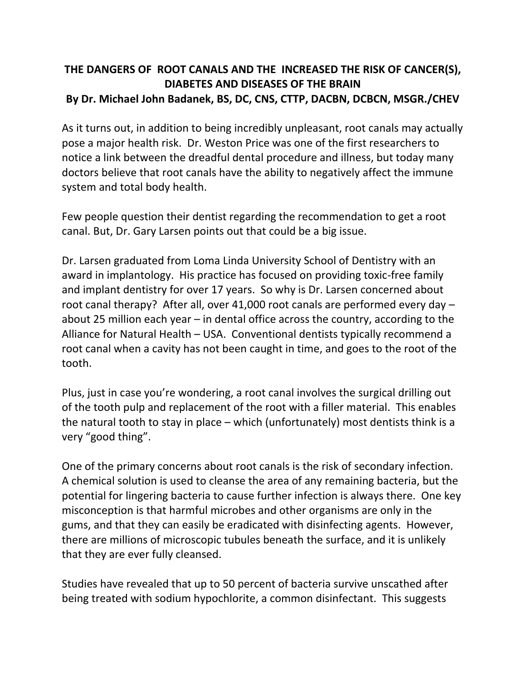## **THE DANGERS OF ROOT CANALS AND THE INCREASED THE RISK OF CANCER(S), DIABETES AND DISEASES OF THE BRAIN By Dr. Michael John Badanek, BS, DC, CNS, CTTP, DACBN, DCBCN, MSGR./CHEV**

As it turns out, in addition to being incredibly unpleasant, root canals may actually pose a major health risk. Dr. Weston Price was one of the first researchers to notice a link between the dreadful dental procedure and illness, but today many doctors believe that root canals have the ability to negatively affect the immune system and total body health.

Few people question their dentist regarding the recommendation to get a root canal. But, Dr. Gary Larsen points out that could be a big issue.

Dr. Larsen graduated from Loma Linda University School of Dentistry with an award in implantology. His practice has focused on providing toxic-free family and implant dentistry for over 17 years. So why is Dr. Larsen concerned about root canal therapy? After all, over 41,000 root canals are performed every day – about 25 million each year – in dental office across the country, according to the Alliance for Natural Health – USA. Conventional dentists typically recommend a root canal when a cavity has not been caught in time, and goes to the root of the tooth.

Plus, just in case you're wondering, a root canal involves the surgical drilling out of the tooth pulp and replacement of the root with a filler material. This enables the natural tooth to stay in place – which (unfortunately) most dentists think is a very "good thing".

One of the primary concerns about root canals is the risk of secondary infection. A chemical solution is used to cleanse the area of any remaining bacteria, but the potential for lingering bacteria to cause further infection is always there. One key misconception is that harmful microbes and other organisms are only in the gums, and that they can easily be eradicated with disinfecting agents. However, there are millions of microscopic tubules beneath the surface, and it is unlikely that they are ever fully cleansed.

Studies have revealed that up to 50 percent of bacteria survive unscathed after being treated with sodium hypochlorite, a common disinfectant. This suggests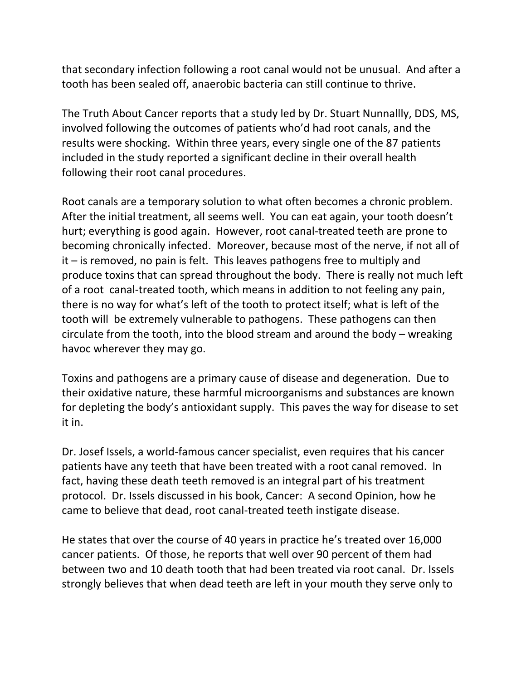that secondary infection following a root canal would not be unusual. And after a tooth has been sealed off, anaerobic bacteria can still continue to thrive.

The Truth About Cancer reports that a study led by Dr. Stuart Nunnallly, DDS, MS, involved following the outcomes of patients who'd had root canals, and the results were shocking. Within three years, every single one of the 87 patients included in the study reported a significant decline in their overall health following their root canal procedures.

Root canals are a temporary solution to what often becomes a chronic problem. After the initial treatment, all seems well. You can eat again, your tooth doesn't hurt; everything is good again. However, root canal-treated teeth are prone to becoming chronically infected. Moreover, because most of the nerve, if not all of it – is removed, no pain is felt. This leaves pathogens free to multiply and produce toxins that can spread throughout the body. There is really not much left of a root canal-treated tooth, which means in addition to not feeling any pain, there is no way for what's left of the tooth to protect itself; what is left of the tooth will be extremely vulnerable to pathogens. These pathogens can then circulate from the tooth, into the blood stream and around the body – wreaking havoc wherever they may go.

Toxins and pathogens are a primary cause of disease and degeneration. Due to their oxidative nature, these harmful microorganisms and substances are known for depleting the body's antioxidant supply. This paves the way for disease to set it in.

Dr. Josef Issels, a world-famous cancer specialist, even requires that his cancer patients have any teeth that have been treated with a root canal removed. In fact, having these death teeth removed is an integral part of his treatment protocol. Dr. Issels discussed in his book, Cancer: A second Opinion, how he came to believe that dead, root canal-treated teeth instigate disease.

He states that over the course of 40 years in practice he's treated over 16,000 cancer patients. Of those, he reports that well over 90 percent of them had between two and 10 death tooth that had been treated via root canal. Dr. Issels strongly believes that when dead teeth are left in your mouth they serve only to